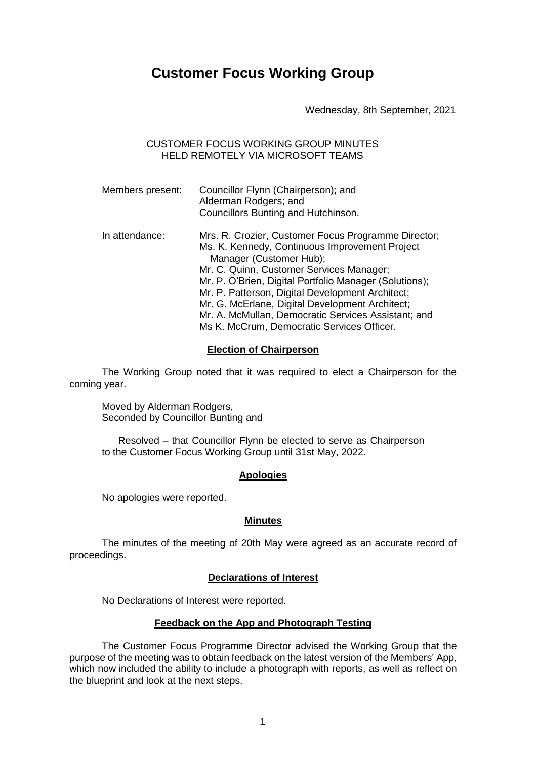# **Customer Focus Working Group**

Wednesday, 8th September, 2021

CUSTOMER FOCUS WORKING GROUP MINUTES HELD REMOTELY VIA MICROSOFT TEAMS

| Members present: | Councillor Flynn (Chairperson); and<br>Alderman Rodgers; and<br>Councillors Bunting and Hutchinson.                                                                                                                                                                                                                                                                                                                                                |
|------------------|----------------------------------------------------------------------------------------------------------------------------------------------------------------------------------------------------------------------------------------------------------------------------------------------------------------------------------------------------------------------------------------------------------------------------------------------------|
| In attendance:   | Mrs. R. Crozier, Customer Focus Programme Director;<br>Ms. K. Kennedy, Continuous Improvement Project<br>Manager (Customer Hub);<br>Mr. C. Quinn, Customer Services Manager;<br>Mr. P. O'Brien, Digital Portfolio Manager (Solutions);<br>Mr. P. Patterson, Digital Development Architect;<br>Mr. G. McErlane, Digital Development Architect;<br>Mr. A. McMullan, Democratic Services Assistant; and<br>Ms K. McCrum, Democratic Services Officer. |

## **Election of Chairperson**

The Working Group noted that it was required to elect a Chairperson for the coming year.

Moved by Alderman Rodgers, Seconded by Councillor Bunting and

Resolved – that Councillor Flynn be elected to serve as Chairperson to the Customer Focus Working Group until 31st May, 2022.

#### **Apologies**

No apologies were reported.

#### **Minutes**

The minutes of the meeting of 20th May were agreed as an accurate record of proceedings.

# **Declarations of Interest**

No Declarations of Interest were reported.

## **Feedback on the App and Photograph Testing**

The Customer Focus Programme Director advised the Working Group that the purpose of the meeting was to obtain feedback on the latest version of the Members' App, which now included the ability to include a photograph with reports, as well as reflect on the blueprint and look at the next steps.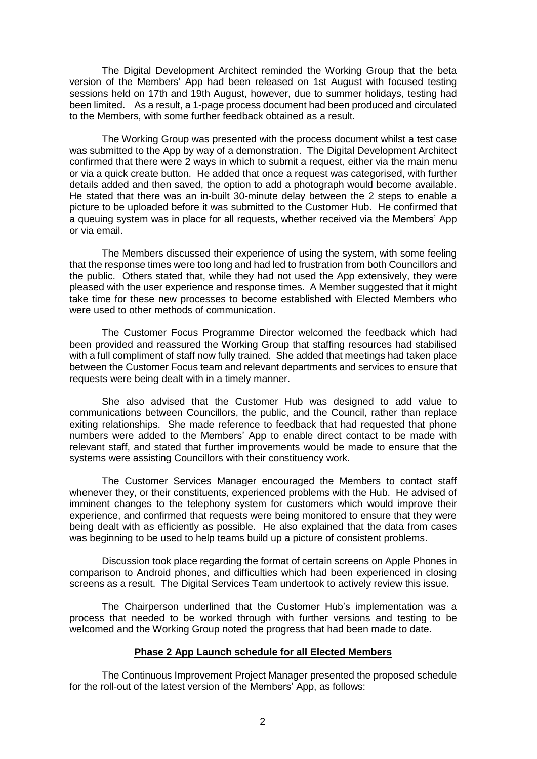The Digital Development Architect reminded the Working Group that the beta version of the Members' App had been released on 1st August with focused testing sessions held on 17th and 19th August, however, due to summer holidays, testing had been limited. As a result, a 1-page process document had been produced and circulated to the Members, with some further feedback obtained as a result.

The Working Group was presented with the process document whilst a test case was submitted to the App by way of a demonstration. The Digital Development Architect confirmed that there were 2 ways in which to submit a request, either via the main menu or via a quick create button. He added that once a request was categorised, with further details added and then saved, the option to add a photograph would become available. He stated that there was an in-built 30-minute delay between the 2 steps to enable a picture to be uploaded before it was submitted to the Customer Hub. He confirmed that a queuing system was in place for all requests, whether received via the Members' App or via email.

The Members discussed their experience of using the system, with some feeling that the response times were too long and had led to frustration from both Councillors and the public. Others stated that, while they had not used the App extensively, they were pleased with the user experience and response times. A Member suggested that it might take time for these new processes to become established with Elected Members who were used to other methods of communication.

The Customer Focus Programme Director welcomed the feedback which had been provided and reassured the Working Group that staffing resources had stabilised with a full compliment of staff now fully trained. She added that meetings had taken place between the Customer Focus team and relevant departments and services to ensure that requests were being dealt with in a timely manner.

She also advised that the Customer Hub was designed to add value to communications between Councillors, the public, and the Council, rather than replace exiting relationships. She made reference to feedback that had requested that phone numbers were added to the Members' App to enable direct contact to be made with relevant staff, and stated that further improvements would be made to ensure that the systems were assisting Councillors with their constituency work.

The Customer Services Manager encouraged the Members to contact staff whenever they, or their constituents, experienced problems with the Hub. He advised of imminent changes to the telephony system for customers which would improve their experience, and confirmed that requests were being monitored to ensure that they were being dealt with as efficiently as possible. He also explained that the data from cases was beginning to be used to help teams build up a picture of consistent problems.

Discussion took place regarding the format of certain screens on Apple Phones in comparison to Android phones, and difficulties which had been experienced in closing screens as a result. The Digital Services Team undertook to actively review this issue.

The Chairperson underlined that the Customer Hub's implementation was a process that needed to be worked through with further versions and testing to be welcomed and the Working Group noted the progress that had been made to date.

## **Phase 2 App Launch schedule for all Elected Members**

The Continuous Improvement Project Manager presented the proposed schedule for the roll-out of the latest version of the Members' App, as follows: